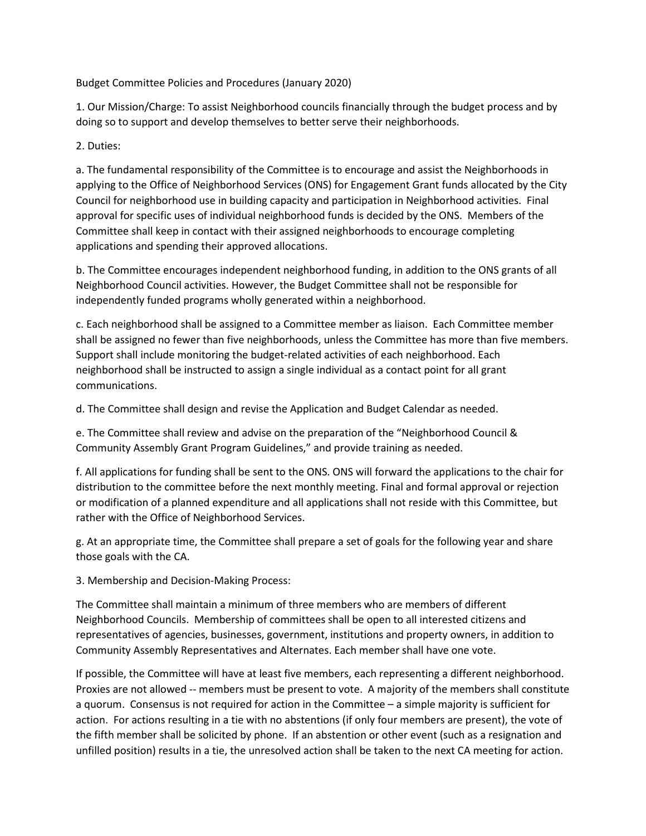Budget Committee Policies and Procedures (January 2020)

1. Our Mission/Charge: To assist Neighborhood councils financially through the budget process and by doing so to support and develop themselves to better serve their neighborhoods.

2. Duties:

a. The fundamental responsibility of the Committee is to encourage and assist the Neighborhoods in applying to the Office of Neighborhood Services (ONS) for Engagement Grant funds allocated by the City Council for neighborhood use in building capacity and participation in Neighborhood activities. Final approval for specific uses of individual neighborhood funds is decided by the ONS. Members of the Committee shall keep in contact with their assigned neighborhoods to encourage completing applications and spending their approved allocations.

b. The Committee encourages independent neighborhood funding, in addition to the ONS grants of all Neighborhood Council activities. However, the Budget Committee shall not be responsible for independently funded programs wholly generated within a neighborhood.

c. Each neighborhood shall be assigned to a Committee member as liaison. Each Committee member shall be assigned no fewer than five neighborhoods, unless the Committee has more than five members. Support shall include monitoring the budget-related activities of each neighborhood. Each neighborhood shall be instructed to assign a single individual as a contact point for all grant communications.

d. The Committee shall design and revise the Application and Budget Calendar as needed.

e. The Committee shall review and advise on the preparation of the "Neighborhood Council & Community Assembly Grant Program Guidelines," and provide training as needed.

f. All applications for funding shall be sent to the ONS. ONS will forward the applications to the chair for distribution to the committee before the next monthly meeting. Final and formal approval or rejection or modification of a planned expenditure and all applications shall not reside with this Committee, but rather with the Office of Neighborhood Services.

g. At an appropriate time, the Committee shall prepare a set of goals for the following year and share those goals with the CA.

3. Membership and Decision-Making Process:

The Committee shall maintain a minimum of three members who are members of different Neighborhood Councils. Membership of committees shall be open to all interested citizens and representatives of agencies, businesses, government, institutions and property owners, in addition to Community Assembly Representatives and Alternates. Each member shall have one vote.

If possible, the Committee will have at least five members, each representing a different neighborhood. Proxies are not allowed -- members must be present to vote. A majority of the members shall constitute a quorum. Consensus is not required for action in the Committee – a simple majority is sufficient for action. For actions resulting in a tie with no abstentions (if only four members are present), the vote of the fifth member shall be solicited by phone. If an abstention or other event (such as a resignation and unfilled position) results in a tie, the unresolved action shall be taken to the next CA meeting for action.